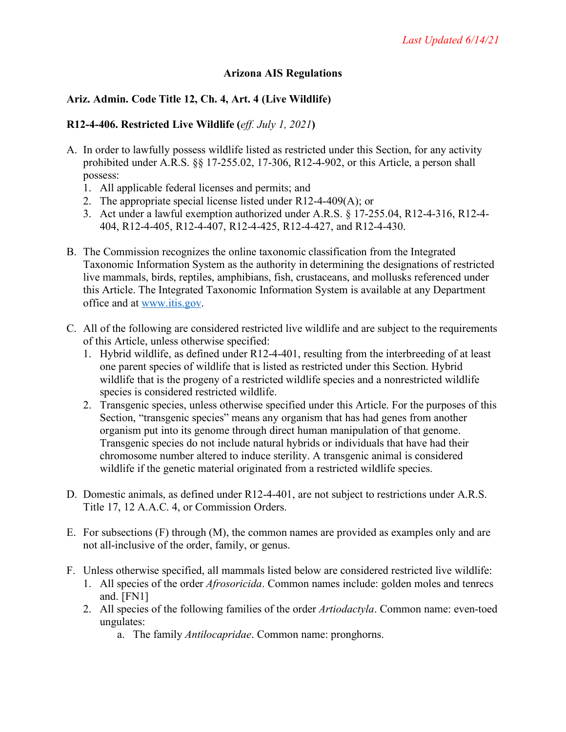## **Arizona AIS Regulations**

## **Ariz. Admin. Code Title 12, Ch. 4, Art. 4 (Live Wildlife)**

### **R12-4-406. Restricted Live Wildlife (***eff. July 1, 2021***)**

- A. In order to lawfully possess wildlife listed as restricted under this Section, for any activity prohibited under A.R.S. §§ 17-255.02, 17-306, R12-4-902, or this Article, a person shall possess:
	- 1. All applicable federal licenses and permits; and
	- 2. The appropriate special license listed under R12-4-409(A); or
	- 3. Act under a lawful exemption authorized under A.R.S. § 17-255.04, R12-4-316, R12-4- 404, R12-4-405, R12-4-407, R12-4-425, R12-4-427, and R12-4-430.
- B. The Commission recognizes the online taxonomic classification from the Integrated Taxonomic Information System as the authority in determining the designations of restricted live mammals, birds, reptiles, amphibians, fish, crustaceans, and mollusks referenced under this Article. The Integrated Taxonomic Information System is available at any Department office and at www.itis.gov.
- C. All of the following are considered restricted live wildlife and are subject to the requirements of this Article, unless otherwise specified:
	- 1. Hybrid wildlife, as defined under R12-4-401, resulting from the interbreeding of at least one parent species of wildlife that is listed as restricted under this Section. Hybrid wildlife that is the progeny of a restricted wildlife species and a nonrestricted wildlife species is considered restricted wildlife.
	- 2. Transgenic species, unless otherwise specified under this Article. For the purposes of this Section, "transgenic species" means any organism that has had genes from another organism put into its genome through direct human manipulation of that genome. Transgenic species do not include natural hybrids or individuals that have had their chromosome number altered to induce sterility. A transgenic animal is considered wildlife if the genetic material originated from a restricted wildlife species.
- D. Domestic animals, as defined under R12-4-401, are not subject to restrictions under A.R.S. Title 17, 12 A.A.C. 4, or Commission Orders.
- E. For subsections (F) through (M), the common names are provided as examples only and are not all-inclusive of the order, family, or genus.
- F. Unless otherwise specified, all mammals listed below are considered restricted live wildlife:
	- 1. All species of the order *Afrosoricida*. Common names include: golden moles and tenrecs and. [FN1]
	- 2. All species of the following families of the order *Artiodactyla*. Common name: even-toed ungulates:
		- a. The family *Antilocapridae*. Common name: pronghorns.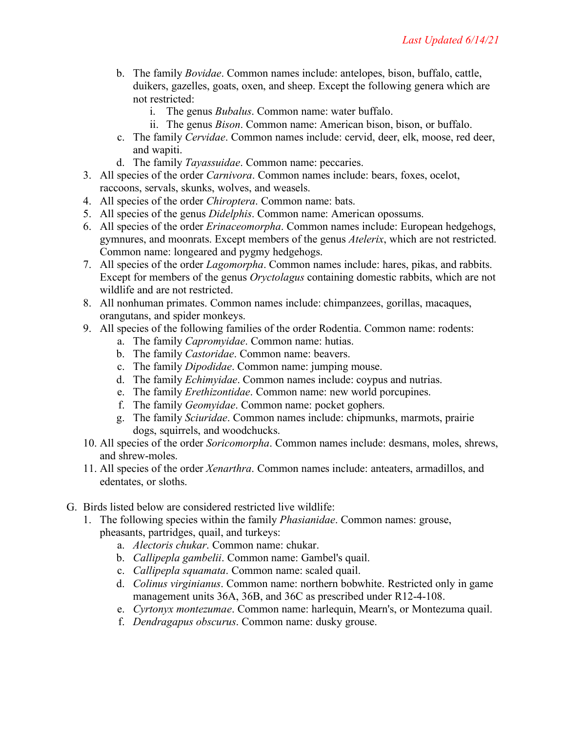- b. The family *Bovidae*. Common names include: antelopes, bison, buffalo, cattle, duikers, gazelles, goats, oxen, and sheep. Except the following genera which are not restricted:
	- i. The genus *Bubalus*. Common name: water buffalo.
	- ii. The genus *Bison*. Common name: American bison, bison, or buffalo.
- c. The family *Cervidae*. Common names include: cervid, deer, elk, moose, red deer, and wapiti.
- d. The family *Tayassuidae*. Common name: peccaries.
- 3. All species of the order *Carnivora*. Common names include: bears, foxes, ocelot, raccoons, servals, skunks, wolves, and weasels.
- 4. All species of the order *Chiroptera*. Common name: bats.
- 5. All species of the genus *Didelphis*. Common name: American opossums.
- 6. All species of the order *Erinaceomorpha*. Common names include: European hedgehogs, gymnures, and moonrats. Except members of the genus *Atelerix*, which are not restricted. Common name: longeared and pygmy hedgehogs.
- 7. All species of the order *Lagomorpha*. Common names include: hares, pikas, and rabbits. Except for members of the genus *Oryctolagus* containing domestic rabbits, which are not wildlife and are not restricted.
- 8. All nonhuman primates. Common names include: chimpanzees, gorillas, macaques, orangutans, and spider monkeys.
- 9. All species of the following families of the order Rodentia. Common name: rodents:
	- a. The family *Capromyidae*. Common name: hutias.
	- b. The family *Castoridae*. Common name: beavers.
	- c. The family *Dipodidae*. Common name: jumping mouse.
	- d. The family *Echimyidae*. Common names include: coypus and nutrias.
	- e. The family *Erethizontidae*. Common name: new world porcupines.
	- f. The family *Geomyidae*. Common name: pocket gophers.
	- g. The family *Sciuridae*. Common names include: chipmunks, marmots, prairie dogs, squirrels, and woodchucks.
- 10. All species of the order *Soricomorpha*. Common names include: desmans, moles, shrews, and shrew-moles.
- 11. All species of the order *Xenarthra*. Common names include: anteaters, armadillos, and edentates, or sloths.
- G. Birds listed below are considered restricted live wildlife:
	- 1. The following species within the family *Phasianidae*. Common names: grouse, pheasants, partridges, quail, and turkeys:
		- a. *Alectoris chukar*. Common name: chukar.
		- b. *Callipepla gambelii*. Common name: Gambel's quail.
		- c. *Callipepla squamata*. Common name: scaled quail.
		- d. *Colinus virginianus*. Common name: northern bobwhite. Restricted only in game management units 36A, 36B, and 36C as prescribed under R12-4-108.
		- e. *Cyrtonyx montezumae*. Common name: harlequin, Mearn's, or Montezuma quail.
		- f. *Dendragapus obscurus*. Common name: dusky grouse.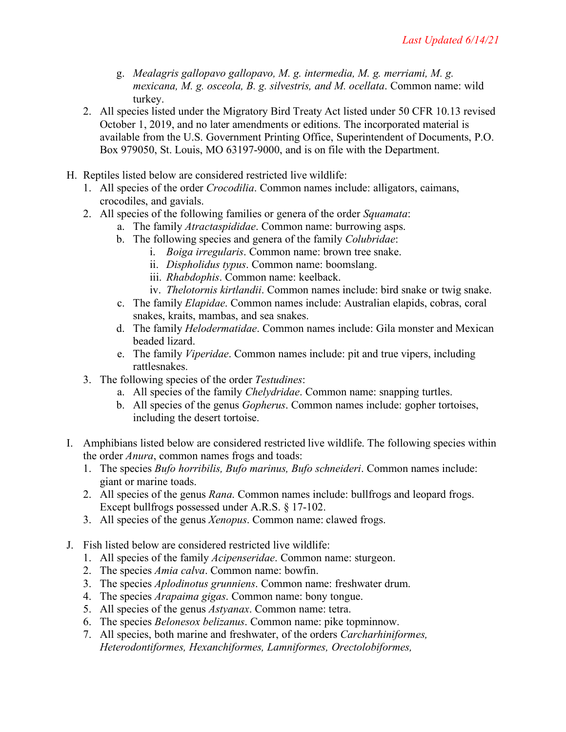- g. *Mealagris gallopavo gallopavo, M. g. intermedia, M. g. merriami, M. g. mexicana, M. g. osceola, B. g. silvestris, and M. ocellata*. Common name: wild turkey.
- 2. All species listed under the Migratory Bird Treaty Act listed under 50 CFR 10.13 revised October 1, 2019, and no later amendments or editions. The incorporated material is available from the U.S. Government Printing Office, Superintendent of Documents, P.O. Box 979050, St. Louis, MO 63197-9000, and is on file with the Department.
- H. Reptiles listed below are considered restricted live wildlife:
	- 1. All species of the order *Crocodilia*. Common names include: alligators, caimans, crocodiles, and gavials.
	- 2. All species of the following families or genera of the order *Squamata*:
		- a. The family *Atractaspididae*. Common name: burrowing asps.
		- b. The following species and genera of the family *Colubridae*:
			- i. *Boiga irregularis*. Common name: brown tree snake.
			- ii. *Dispholidus typus*. Common name: boomslang.
			- iii. *Rhabdophis*. Common name: keelback.
			- iv. *Thelotornis kirtlandii*. Common names include: bird snake or twig snake.
		- c. The family *Elapidae*. Common names include: Australian elapids, cobras, coral snakes, kraits, mambas, and sea snakes.
		- d. The family *Helodermatidae*. Common names include: Gila monster and Mexican beaded lizard.
		- e. The family *Viperidae*. Common names include: pit and true vipers, including rattlesnakes.
	- 3. The following species of the order *Testudines*:
		- a. All species of the family *Chelydridae*. Common name: snapping turtles.
		- b. All species of the genus *Gopherus*. Common names include: gopher tortoises, including the desert tortoise.
- I. Amphibians listed below are considered restricted live wildlife. The following species within the order *Anura*, common names frogs and toads:
	- 1. The species *Bufo horribilis, Bufo marinus, Bufo schneideri*. Common names include: giant or marine toads.
	- 2. All species of the genus *Rana*. Common names include: bullfrogs and leopard frogs. Except bullfrogs possessed under A.R.S. § 17-102.
	- 3. All species of the genus *Xenopus*. Common name: clawed frogs.
- J. Fish listed below are considered restricted live wildlife:
	- 1. All species of the family *Acipenseridae*. Common name: sturgeon.
	- 2. The species *Amia calva*. Common name: bowfin.
	- 3. The species *Aplodinotus grunniens*. Common name: freshwater drum.
	- 4. The species *Arapaima gigas*. Common name: bony tongue.
	- 5. All species of the genus *Astyanax*. Common name: tetra.
	- 6. The species *Belonesox belizanus*. Common name: pike topminnow.
	- 7. All species, both marine and freshwater, of the orders *Carcharhiniformes, Heterodontiformes, Hexanchiformes, Lamniformes, Orectolobiformes,*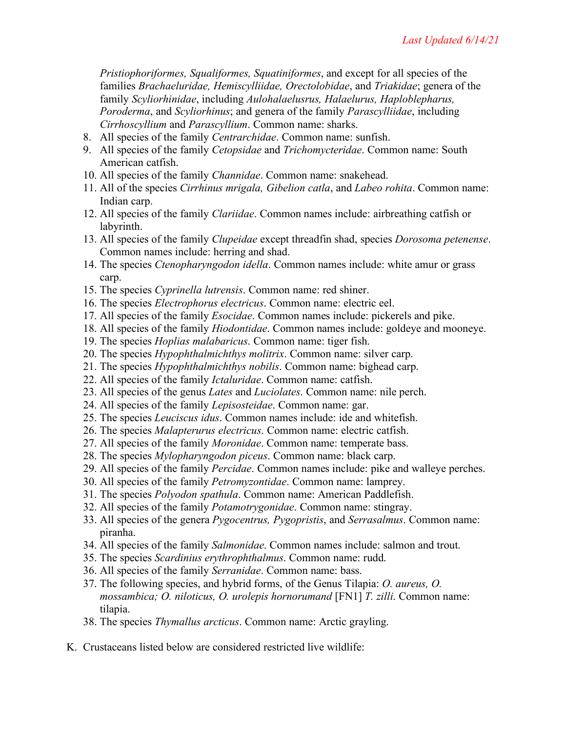*Pristiophoriformes, Squaliformes, Squatiniformes*, and except for all species of the families *Brachaeluridae, Hemiscylliidae, Orectolobidae*, and *Triakidae*; genera of the family *Scyliorhinidae*, including *Aulohalaelusrus, Halaelurus, Haploblepharus, Poroderma*, and *Scyliorhinus*; and genera of the family *Parascylliidae*, including *Cirrhoscyllium* and *Parascyllium*. Common name: sharks.

- 8. All species of the family *Centrarchidae*. Common name: sunfish.
- 9. All species of the family *Cetopsidae* and *Trichomycteridae*. Common name: South American catfish.
- 10. All species of the family *Channidae*. Common name: snakehead.
- 11. All of the species *Cirrhinus mrigala, Gibelion catla*, and *Labeo rohita*. Common name: Indian carp.
- 12. All species of the family *Clariidae*. Common names include: airbreathing catfish or labyrinth.
- 13. All species of the family *Clupeidae* except threadfin shad, species *Dorosoma petenense*. Common names include: herring and shad.
- 14. The species *Ctenopharyngodon idella*. Common names include: white amur or grass carp.
- 15. The species *Cyprinella lutrensis*. Common name: red shiner.
- 16. The species *Electrophorus electricus*. Common name: electric eel.
- 17. All species of the family *Esocidae*. Common names include: pickerels and pike.
- 18. All species of the family *Hiodontidae*. Common names include: goldeye and mooneye.
- 19. The species *Hoplias malabaricus*. Common name: tiger fish.
- 20. The species *Hypophthalmichthys molitrix*. Common name: silver carp.
- 21. The species *Hypophthalmichthys nobilis*. Common name: bighead carp.
- 22. All species of the family *Ictaluridae*. Common name: catfish.
- 23. All species of the genus *Lates* and *Luciolates*. Common name: nile perch.
- 24. All species of the family *Lepisosteidae*. Common name: gar.
- 25. The species *Leuciscus idus*. Common names include: ide and whitefish.
- 26. The species *Malapterurus electricus*. Common name: electric catfish.
- 27. All species of the family *Moronidae*. Common name: temperate bass.
- 28. The species *Mylopharyngodon piceus*. Common name: black carp.
- 29. All species of the family *Percidae*. Common names include: pike and walleye perches.
- 30. All species of the family *Petromyzontidae*. Common name: lamprey.
- 31. The species *Polyodon spathula*. Common name: American Paddlefish.
- 32. All species of the family *Potamotrygonidae*. Common name: stingray.
- 33. All species of the genera *Pygocentrus, Pygopristis*, and *Serrasalmus*. Common name: piranha.
- 34. All species of the family *Salmonidae*. Common names include: salmon and trout.
- 35. The species *Scardinius erythrophthalmus*. Common name: rudd.
- 36. All species of the family *Serranidae*. Common name: bass.
- 37. The following species, and hybrid forms, of the Genus Tilapia: *O. aureus, O. mossambica; O. niloticus, O. urolepis hornorumand* [FN1] *T. zilli*. Common name: tilapia.
- 38. The species *Thymallus arcticus*. Common name: Arctic grayling.
- K. Crustaceans listed below are considered restricted live wildlife: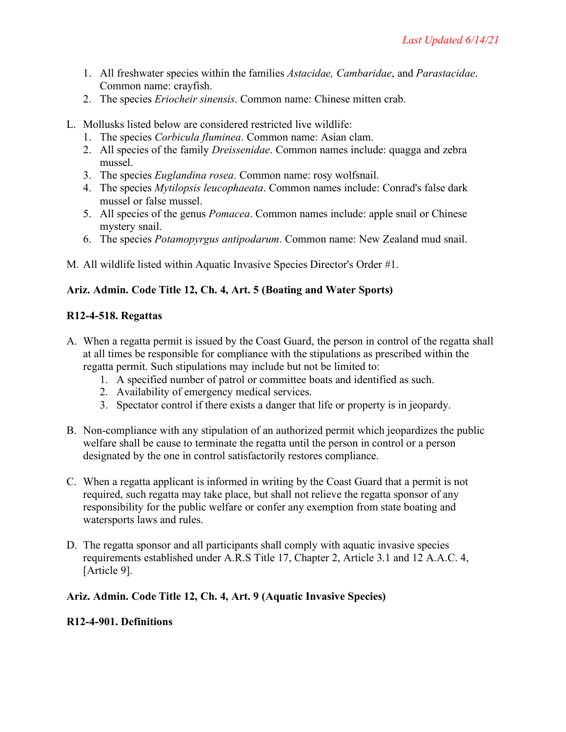- 1. All freshwater species within the families *Astacidae, Cambaridae*, and *Parastacidae*. Common name: crayfish.
- 2. The species *Eriocheir sinensis*. Common name: Chinese mitten crab.
- L. Mollusks listed below are considered restricted live wildlife:
	- 1. The species *Corbicula fluminea*. Common name: Asian clam.
	- 2. All species of the family *Dreissenidae*. Common names include: quagga and zebra mussel.
	- 3. The species *Euglandina rosea*. Common name: rosy wolfsnail.
	- 4. The species *Mytilopsis leucophaeata*. Common names include: Conrad's false dark mussel or false mussel.
	- 5. All species of the genus *Pomacea*. Common names include: apple snail or Chinese mystery snail.
	- 6. The species *Potamopyrgus antipodarum*. Common name: New Zealand mud snail.

M. All wildlife listed within Aquatic Invasive Species Director's Order #1.

# **Ariz. Admin. Code Title 12, Ch. 4, Art. 5 (Boating and Water Sports)**

## **R12-4-518. Regattas**

- A. When a regatta permit is issued by the Coast Guard, the person in control of the regatta shall at all times be responsible for compliance with the stipulations as prescribed within the regatta permit. Such stipulations may include but not be limited to:
	- 1. A specified number of patrol or committee boats and identified as such.
	- 2. Availability of emergency medical services.
	- 3. Spectator control if there exists a danger that life or property is in jeopardy.
- B. Non-compliance with any stipulation of an authorized permit which jeopardizes the public welfare shall be cause to terminate the regatta until the person in control or a person designated by the one in control satisfactorily restores compliance.
- C. When a regatta applicant is informed in writing by the Coast Guard that a permit is not required, such regatta may take place, but shall not relieve the regatta sponsor of any responsibility for the public welfare or confer any exemption from state boating and watersports laws and rules.
- D. The regatta sponsor and all participants shall comply with aquatic invasive species requirements established under A.R.S Title 17, Chapter 2, Article 3.1 and 12 A.A.C. 4, [Article 9].

## **Ariz. Admin. Code Title 12, Ch. 4, Art. 9 (Aquatic Invasive Species)**

### **R12-4-901. Definitions**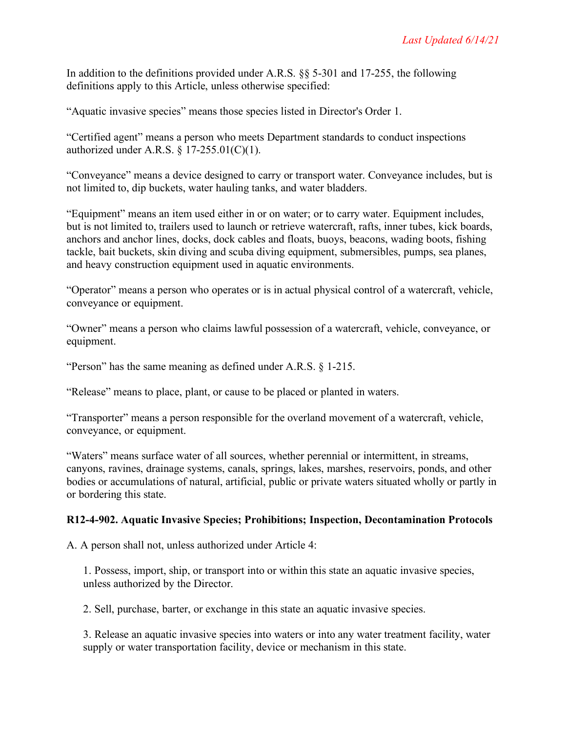In addition to the definitions provided under A.R.S. §§ 5-301 and 17-255, the following definitions apply to this Article, unless otherwise specified:

"Aquatic invasive species" means those species listed in Director's Order 1.

"Certified agent" means a person who meets Department standards to conduct inspections authorized under A.R.S.  $\frac{17-255.01(C)(1)}{1}$ .

"Conveyance" means a device designed to carry or transport water. Conveyance includes, but is not limited to, dip buckets, water hauling tanks, and water bladders.

"Equipment" means an item used either in or on water; or to carry water. Equipment includes, but is not limited to, trailers used to launch or retrieve watercraft, rafts, inner tubes, kick boards, anchors and anchor lines, docks, dock cables and floats, buoys, beacons, wading boots, fishing tackle, bait buckets, skin diving and scuba diving equipment, submersibles, pumps, sea planes, and heavy construction equipment used in aquatic environments.

"Operator" means a person who operates or is in actual physical control of a watercraft, vehicle, conveyance or equipment.

"Owner" means a person who claims lawful possession of a watercraft, vehicle, conveyance, or equipment.

"Person" has the same meaning as defined under A.R.S. § 1-215.

"Release" means to place, plant, or cause to be placed or planted in waters.

"Transporter" means a person responsible for the overland movement of a watercraft, vehicle, conveyance, or equipment.

"Waters" means surface water of all sources, whether perennial or intermittent, in streams, canyons, ravines, drainage systems, canals, springs, lakes, marshes, reservoirs, ponds, and other bodies or accumulations of natural, artificial, public or private waters situated wholly or partly in or bordering this state.

### **R12-4-902. Aquatic Invasive Species; Prohibitions; Inspection, Decontamination Protocols**

A. A person shall not, unless authorized under Article 4:

1. Possess, import, ship, or transport into or within this state an aquatic invasive species, unless authorized by the Director.

2. Sell, purchase, barter, or exchange in this state an aquatic invasive species.

3. Release an aquatic invasive species into waters or into any water treatment facility, water supply or water transportation facility, device or mechanism in this state.